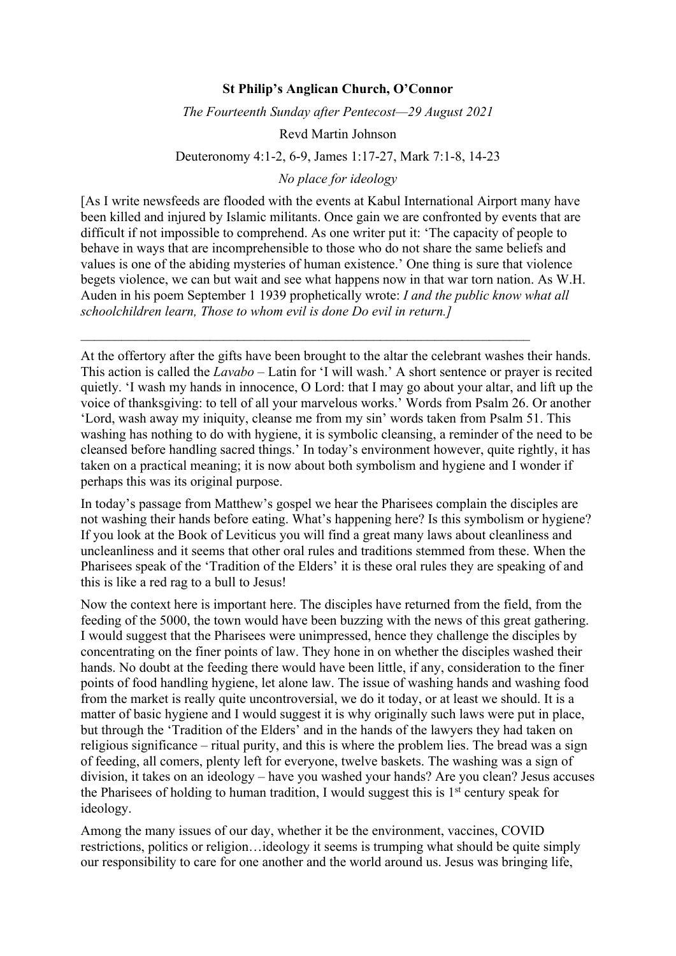## **St Philip's Anglican Church, O'Connor**

*The Fourteenth Sunday after Pentecost—29 August 2021*

Revd Martin Johnson

## Deuteronomy 4:1-2, 6-9, James 1:17-27, Mark 7:1-8, 14-23

## *No place for ideology*

[As I write newsfeeds are flooded with the events at Kabul International Airport many have been killed and injured by Islamic militants. Once gain we are confronted by events that are difficult if not impossible to comprehend. As one writer put it: 'The capacity of people to behave in ways that are incomprehensible to those who do not share the same beliefs and values is one of the abiding mysteries of human existence.' One thing is sure that violence begets violence, we can but wait and see what happens now in that war torn nation. As W.H. Auden in his poem September 1 1939 prophetically wrote: *I and the public know what all schoolchildren learn, Those to whom evil is done Do evil in return.]*

 $\mathcal{L}_\mathcal{L} = \mathcal{L}_\mathcal{L} = \mathcal{L}_\mathcal{L} = \mathcal{L}_\mathcal{L} = \mathcal{L}_\mathcal{L} = \mathcal{L}_\mathcal{L} = \mathcal{L}_\mathcal{L} = \mathcal{L}_\mathcal{L} = \mathcal{L}_\mathcal{L} = \mathcal{L}_\mathcal{L} = \mathcal{L}_\mathcal{L} = \mathcal{L}_\mathcal{L} = \mathcal{L}_\mathcal{L} = \mathcal{L}_\mathcal{L} = \mathcal{L}_\mathcal{L} = \mathcal{L}_\mathcal{L} = \mathcal{L}_\mathcal{L}$ 

At the offertory after the gifts have been brought to the altar the celebrant washes their hands. This action is called the *Lavabo* – Latin for 'I will wash.' A short sentence or prayer is recited quietly. 'I wash my hands in innocence, O Lord: that I may go about your altar, and lift up the voice of thanksgiving: to tell of all your marvelous works.' Words from Psalm 26. Or another 'Lord, wash away my iniquity, cleanse me from my sin' words taken from Psalm 51. This washing has nothing to do with hygiene, it is symbolic cleansing, a reminder of the need to be cleansed before handling sacred things.' In today's environment however, quite rightly, it has taken on a practical meaning; it is now about both symbolism and hygiene and I wonder if perhaps this was its original purpose.

In today's passage from Matthew's gospel we hear the Pharisees complain the disciples are not washing their hands before eating. What's happening here? Is this symbolism or hygiene? If you look at the Book of Leviticus you will find a great many laws about cleanliness and uncleanliness and it seems that other oral rules and traditions stemmed from these. When the Pharisees speak of the 'Tradition of the Elders' it is these oral rules they are speaking of and this is like a red rag to a bull to Jesus!

Now the context here is important here. The disciples have returned from the field, from the feeding of the 5000, the town would have been buzzing with the news of this great gathering. I would suggest that the Pharisees were unimpressed, hence they challenge the disciples by concentrating on the finer points of law. They hone in on whether the disciples washed their hands. No doubt at the feeding there would have been little, if any, consideration to the finer points of food handling hygiene, let alone law. The issue of washing hands and washing food from the market is really quite uncontroversial, we do it today, or at least we should. It is a matter of basic hygiene and I would suggest it is why originally such laws were put in place, but through the 'Tradition of the Elders' and in the hands of the lawyers they had taken on religious significance – ritual purity, and this is where the problem lies. The bread was a sign of feeding, all comers, plenty left for everyone, twelve baskets. The washing was a sign of division, it takes on an ideology – have you washed your hands? Are you clean? Jesus accuses the Pharisees of holding to human tradition, I would suggest this is  $1<sup>st</sup>$  century speak for ideology.

Among the many issues of our day, whether it be the environment, vaccines, COVID restrictions, politics or religion…ideology it seems is trumping what should be quite simply our responsibility to care for one another and the world around us. Jesus was bringing life,